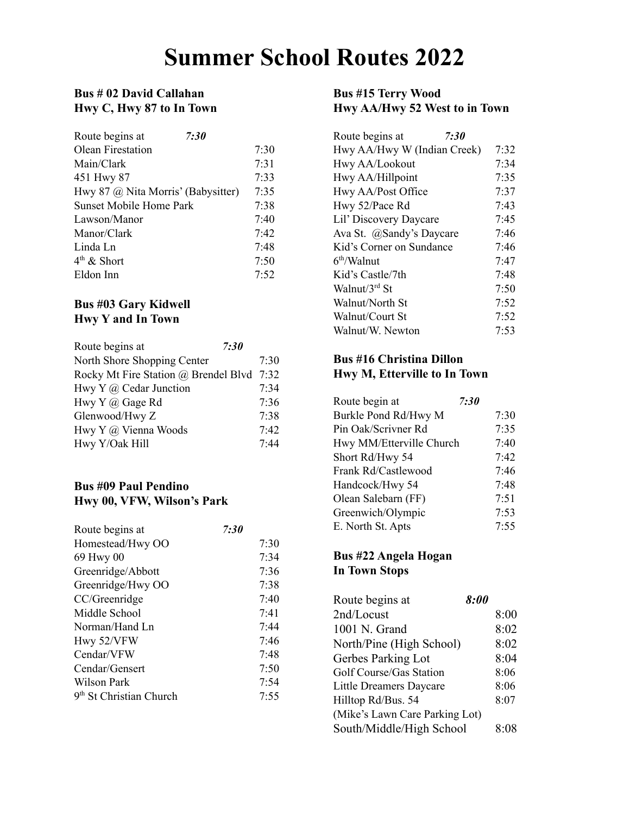## **Summer School Routes 2022**

### **Bus # 02 David Callahan Hwy C, Hwy 87 to In Town**

| Route begins at                    | 7:30 |      |
|------------------------------------|------|------|
| <b>Olean Firestation</b>           |      | 7:30 |
| Main/Clark                         |      | 7:31 |
| 451 Hwy 87                         |      | 7:33 |
| Hwy 87 @ Nita Morris' (Babysitter) |      | 7:35 |
| <b>Sunset Mobile Home Park</b>     |      | 7:38 |
| Lawson/Manor                       |      | 7:40 |
| Manor/Clark                        |      | 7:42 |
| Linda Ln                           |      | 7:48 |
| $4th$ & Short                      |      | 7:50 |
| Eldon Inn                          |      | 7:52 |

### **Bus #03 Gary Kidwell Hwy Y and In Town**

| Route begins at                      | 7:30 |      |
|--------------------------------------|------|------|
| North Shore Shopping Center          |      | 7:30 |
| Rocky Mt Fire Station @ Brendel Blvd |      | 7:32 |
| Hwy Y $\omega$ Cedar Junction        |      | 7.34 |
| Hwy Y @ Gage Rd                      |      | 7:36 |
| Glenwood/Hwy Z                       |      | 7:38 |
| Hwy Y @ Vienna Woods                 |      | 7.42 |
| Hwy Y/Oak Hill                       |      | 7.44 |

### **Bus #09 Paul Pendino Hwy 00, VFW, Wilson's Park**

| Route begins at                     | <i>7:30</i> |
|-------------------------------------|-------------|
| Homestead/Hwy OO                    | 7:30        |
| 69 Hwy 00                           | 7:34        |
| Greenridge/Abbott                   | 7:36        |
| Greenridge/Hwy OO                   | 7:38        |
| CC/Greenridge                       | 7:40        |
| Middle School                       | 7:41        |
| Norman/Hand Ln                      | 7.44        |
| Hwy 52/VFW                          | 7:46        |
| Cendar/VFW                          | 7:48        |
| Cendar/Gensert                      | 7:50        |
| Wilson Park                         | 7:54        |
| 9 <sup>th</sup> St Christian Church | 7:55        |

### **Bus #15 Terry Wood Hwy AA/Hwy 52 West to in Town**

| Route begins at<br>7:30     |      |
|-----------------------------|------|
| Hwy AA/Hwy W (Indian Creek) | 7:32 |
| Hwy AA/Lookout              | 7:34 |
| Hwy AA/Hillpoint            | 7:35 |
| Hwy AA/Post Office          | 7:37 |
| Hwy 52/Pace Rd              | 7:43 |
| Lil' Discovery Daycare      | 7:45 |
| Ava St. @Sandy's Daycare    | 7:46 |
| Kid's Corner on Sundance    | 7:46 |
| 6 <sup>th</sup> /Walnut     | 7:47 |
| Kid's Castle/7th            | 7:48 |
| Walnut/ $3^{rd}$ St         | 7:50 |
| Walnut/North St             | 7:52 |
| Walnut/Court St             | 7:52 |
| Walnut/W Newton             | 7:53 |

### **Bus #16 Christina Dillon Hwy M, Etterville to In Town**

| Route begin at           | <b>7:30</b> |
|--------------------------|-------------|
| Burkle Pond Rd/Hwy M     | 7:30        |
| Pin Oak/Scrivner Rd      | 7:35        |
| Hwy MM/Etterville Church | 7:40        |
| Short Rd/Hwy 54          | 7:42        |
| Frank Rd/Castlewood      | 7:46        |
| Handcock/Hwy 54          | 7:48        |
| Olean Salebarn (FF)      | 7:51        |
| Greenwich/Olympic        | 7:53        |
| E. North St. Apts        | 7:55        |

### **Bus #22 Angela Hogan In Town Stops**

| Route begins at                | 8:00 |
|--------------------------------|------|
| 2nd/Locust                     | 8:00 |
| 1001 N. Grand                  | 8:02 |
| North/Pine (High School)       | 8:02 |
| Gerbes Parking Lot             | 8:04 |
| Golf Course/Gas Station        | 8:06 |
| Little Dreamers Daycare        | 8:06 |
| Hilltop Rd/Bus. 54             | 8:07 |
| (Mike's Lawn Care Parking Lot) |      |
| South/Middle/High School       | 8:08 |